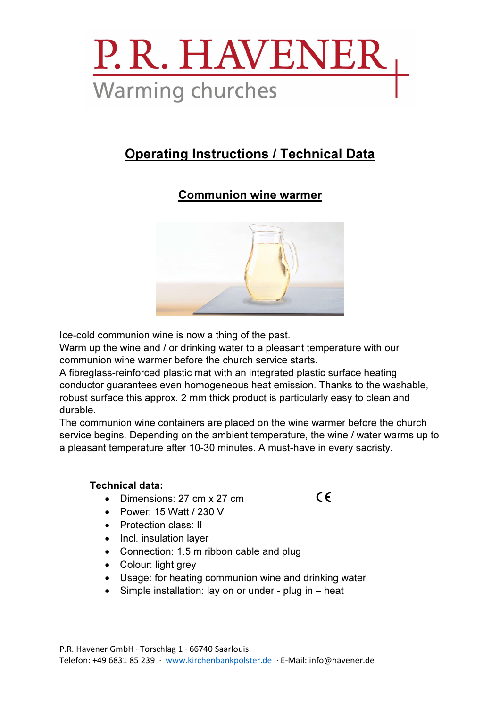

### Operating Instructions / Technical Data

### Communion wine warmer



Ice-cold communion wine is now a thing of the past.

Warm up the wine and / or drinking water to a pleasant temperature with our communion wine warmer before the church service starts.

A fibreglass-reinforced plastic mat with an integrated plastic surface heating conductor guarantees even homogeneous heat emission. Thanks to the washable, robust surface this approx. 2 mm thick product is particularly easy to clean and durable.

The communion wine containers are placed on the wine warmer before the church service begins. Depending on the ambient temperature, the wine / water warms up to a pleasant temperature after 10-30 minutes. A must-have in every sacristy.

 $C \in$ 

#### Technical data:

- Dimensions: 27 cm x 27 cm
- Power: 15 Watt / 230 V
- Protection class: II
- Incl. insulation laver
- Connection: 1.5 m ribbon cable and plug
- Colour: light grey
- Usage: for heating communion wine and drinking water
- Simple installation: lay on or under plug in heat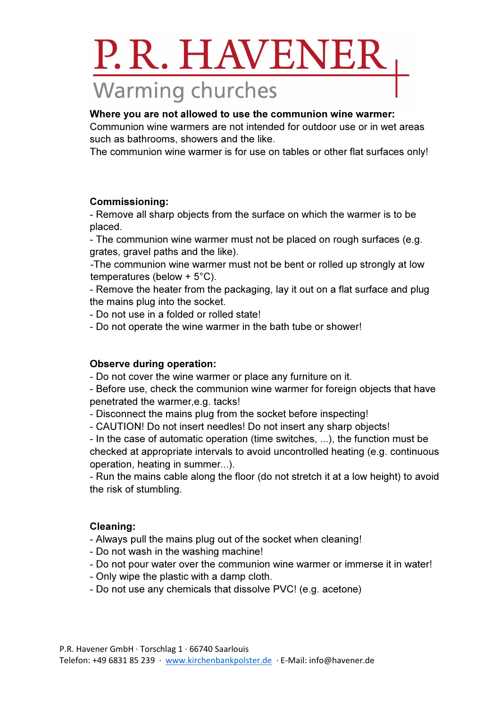# P.R. HAVENEH **Warming churches**

#### Where you are not allowed to use the communion wine warmer:

Communion wine warmers are not intended for outdoor use or in wet areas such as bathrooms, showers and the like.

The communion wine warmer is for use on tables or other flat surfaces only!

#### Commissioning:

- Remove all sharp objects from the surface on which the warmer is to be placed.

- The communion wine warmer must not be placed on rough surfaces (e.g. grates, gravel paths and the like).

-The communion wine warmer must not be bent or rolled up strongly at low temperatures (below + 5°C).

- Remove the heater from the packaging, lay it out on a flat surface and plug the mains plug into the socket.

- Do not use in a folded or rolled state!

- Do not operate the wine warmer in the bath tube or shower!

#### Observe during operation:

- Do not cover the wine warmer or place any furniture on it.

- Before use, check the communion wine warmer for foreign objects that have penetrated the warmer,e.g. tacks!

- Disconnect the mains plug from the socket before inspecting!
- CAUTION! Do not insert needles! Do not insert any sharp objects!

- In the case of automatic operation (time switches, ...), the function must be checked at appropriate intervals to avoid uncontrolled heating (e.g. continuous operation, heating in summer...).

- Run the mains cable along the floor (do not stretch it at a low height) to avoid the risk of stumbling.

#### Cleaning:

- Always pull the mains plug out of the socket when cleaning!
- Do not wash in the washing machine!
- Do not pour water over the communion wine warmer or immerse it in water!
- Only wipe the plastic with a damp cloth.
- Do not use any chemicals that dissolve PVC! (e.g. acetone)